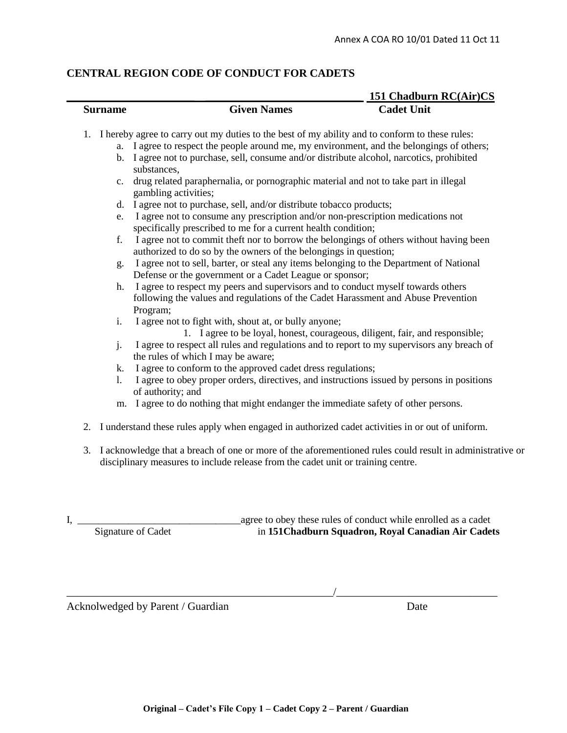## **CENTRAL REGION CODE OF CONDUCT FOR CADETS**

|                                                                                                               |                                                                                                                                                                                              | 151 Chadburn RC(Air)CS |
|---------------------------------------------------------------------------------------------------------------|----------------------------------------------------------------------------------------------------------------------------------------------------------------------------------------------|------------------------|
| <b>Surname</b>                                                                                                | <b>Given Names</b>                                                                                                                                                                           | <b>Cadet Unit</b>      |
| I hereby agree to carry out my duties to the best of my ability and to conform to these rules:<br>$1_{\cdot}$ |                                                                                                                                                                                              |                        |
|                                                                                                               | a. I agree to respect the people around me, my environment, and the belongings of others;                                                                                                    |                        |
| b.                                                                                                            | I agree not to purchase, sell, consume and/or distribute alcohol, narcotics, prohibited<br>substances,                                                                                       |                        |
| c.                                                                                                            | drug related paraphernalia, or pornographic material and not to take part in illegal<br>gambling activities;                                                                                 |                        |
| d.                                                                                                            | I agree not to purchase, sell, and/or distribute tobacco products;                                                                                                                           |                        |
| e.                                                                                                            | I agree not to consume any prescription and/or non-prescription medications not<br>specifically prescribed to me for a current health condition;                                             |                        |
| f.                                                                                                            | I agree not to commit theft nor to borrow the belongings of others without having been<br>authorized to do so by the owners of the belongings in question;                                   |                        |
| g.                                                                                                            | I agree not to sell, barter, or steal any items belonging to the Department of National<br>Defense or the government or a Cadet League or sponsor;                                           |                        |
| h.                                                                                                            | I agree to respect my peers and supervisors and to conduct myself towards others<br>following the values and regulations of the Cadet Harassment and Abuse Prevention<br>Program;            |                        |
| i.                                                                                                            | I agree not to fight with, shout at, or bully anyone;<br>1. I agree to be loyal, honest, courageous, diligent, fair, and responsible;                                                        |                        |
| j.                                                                                                            | I agree to respect all rules and regulations and to report to my supervisors any breach of<br>the rules of which I may be aware;                                                             |                        |
| k.                                                                                                            | I agree to conform to the approved cadet dress regulations;                                                                                                                                  |                        |
| 1.                                                                                                            | I agree to obey proper orders, directives, and instructions issued by persons in positions<br>of authority; and                                                                              |                        |
| m.                                                                                                            | I agree to do nothing that might endanger the immediate safety of other persons.                                                                                                             |                        |
|                                                                                                               | 2. I understand these rules apply when engaged in authorized cadet activities in or out of uniform.                                                                                          |                        |
| 3.                                                                                                            | I acknowledge that a breach of one or more of the aforementioned rules could result in administrative or<br>disciplinary measures to include release from the cadet unit or training centre. |                        |

I, \_\_\_\_\_\_\_\_\_\_\_\_\_\_\_\_\_\_\_\_\_\_\_\_\_\_\_\_\_\_\_\_agree to obey these rules of conduct while enrolled as a cadet in 151Chadburn Squadron, Royal Canadian Air Cadets

Acknolwedged by Parent / Guardian Date

 $\overline{\phantom{a}}$